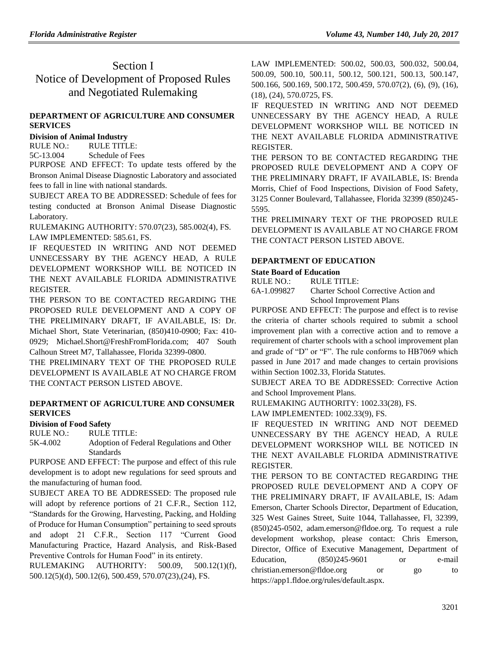## Section I Notice of Development of Proposed Rules and Negotiated Rulemaking

### **[DEPARTMENT OF AGRICULTURE AND CONSUMER](https://www.flrules.org/gateway/department.asp?id=5)  [SERVICES](https://www.flrules.org/gateway/department.asp?id=5)**

#### **[Division of Animal Industry](https://www.flrules.org/gateway/organization.asp?id=163)**

RULE NO.: RULE TITLE: [5C-13.004](https://www.flrules.org/gateway/ruleNo.asp?id=5C-13.004) Schedule of Fees

PURPOSE AND EFFECT: To update tests offered by the Bronson Animal Disease Diagnostic Laboratory and associated fees to fall in line with national standards.

SUBJECT AREA TO BE ADDRESSED: Schedule of fees for testing conducted at Bronson Animal Disease Diagnostic Laboratory.

RULEMAKING AUTHORITY: [570.07\(23\), 585.002\(4\),](https://www.flrules.org/gateway/cfr.asp?id=570.07(23),%20585.002(4)) FS. LAW IMPLEMENTED: [585.61,](https://www.flrules.org/gateway/cfr.asp?id=585.61) FS.

IF REQUESTED IN WRITING AND NOT DEEMED UNNECESSARY BY THE AGENCY HEAD, A RULE DEVELOPMENT WORKSHOP WILL BE NOTICED IN THE NEXT AVAILABLE FLORIDA ADMINISTRATIVE REGISTER.

THE PERSON TO BE CONTACTED REGARDING THE PROPOSED RULE DEVELOPMENT AND A COPY OF THE PRELIMINARY DRAFT, IF AVAILABLE, IS: Dr. Michael Short, State Veterinarian, (850)410-0900; Fax: 410- 0929; Michael.Short@FreshFromFlorida.com; 407 South Calhoun Street M7, Tallahassee, Florida 32399-0800.

THE PRELIMINARY TEXT OF THE PROPOSED RULE DEVELOPMENT IS AVAILABLE AT NO CHARGE FROM THE CONTACT PERSON LISTED ABOVE.

#### **[DEPARTMENT OF AGRICULTURE AND CONSUMER](https://www.flrules.org/gateway/department.asp?id=5)  [SERVICES](https://www.flrules.org/gateway/department.asp?id=5)**

### **[Division of Food Safety](https://www.flrules.org/gateway/organization.asp?id=171)**

RULE NO.: RULE TITLE:

[5K-4.002](https://www.flrules.org/gateway/ruleNo.asp?id=5K-4.002) Adoption of Federal Regulations and Other **Standards** 

PURPOSE AND EFFECT: The purpose and effect of this rule development is to adopt new regulations for seed sprouts and the manufacturing of human food.

SUBJECT AREA TO BE ADDRESSED: The proposed rule will adopt by reference portions of 21 C.F.R., Section 112, "Standards for the Growing, Harvesting, Packing, and Holding of Produce for Human Consumption" pertaining to seed sprouts and adopt 21 C.F.R., Section 117 "Current Good Manufacturing Practice, Hazard Analysis, and Risk-Based Preventive Controls for Human Food" in its entirety.

RULEMAKING AUTHORITY: [500.09,](https://www.flrules.org/gateway/statute.asp?id=500.09) [500.12\(1\)\(f\),](https://www.flrules.org/gateway/statute.asp?id=%20500.12(1)(f)) [500.12\(5\)\(d\),](https://www.flrules.org/gateway/statute.asp?id=%20500.12(5)(d)) [500.12\(6\),](https://www.flrules.org/gateway/statute.asp?id=%20500.12(6)) [500.459,](https://www.flrules.org/gateway/statute.asp?id=%20500.459) [570.07\(23\),](https://www.flrules.org/gateway/statute.asp?id=%20570.07(23))(24), FS.

LAW IMPLEMENTED: [500.02,](https://www.flrules.org/gateway/statute.asp?id=500.02) [500.03,](https://www.flrules.org/gateway/statute.asp?id=%20500.03) [500.032,](https://www.flrules.org/gateway/statute.asp?id=%20500.032) [500.04,](https://www.flrules.org/gateway/statute.asp?id=%20500.04) [500.09,](https://www.flrules.org/gateway/statute.asp?id=%20500.09) [500.10,](https://www.flrules.org/gateway/statute.asp?id=%20500.10) [500.11,](https://www.flrules.org/gateway/statute.asp?id=%20500.11) [500.12,](https://www.flrules.org/gateway/statute.asp?id=%20500.12) [500.121,](https://www.flrules.org/gateway/statute.asp?id=%20500.121) [500.13,](https://www.flrules.org/gateway/statute.asp?id=%20500.13) [500.147,](https://www.flrules.org/gateway/statute.asp?id=%20500.147) [500.166,](https://www.flrules.org/gateway/statute.asp?id=%20500.166) [500.169,](https://www.flrules.org/gateway/statute.asp?id=%20500.169) [500.172,](https://www.flrules.org/gateway/statute.asp?id=%20500.172) [500.459,](https://www.flrules.org/gateway/statute.asp?id=%20500.459) [570.07\(2\),](https://www.flrules.org/gateway/statute.asp?id=%20570.07(2)) (6), (9), (16), (18), (24), [570.0725,](https://www.flrules.org/gateway/statute.asp?id=%20570.0725) FS.

IF REQUESTED IN WRITING AND NOT DEEMED UNNECESSARY BY THE AGENCY HEAD, A RULE DEVELOPMENT WORKSHOP WILL BE NOTICED IN THE NEXT AVAILABLE FLORIDA ADMINISTRATIVE REGISTER.

THE PERSON TO BE CONTACTED REGARDING THE PROPOSED RULE DEVELOPMENT AND A COPY OF THE PRELIMINARY DRAFT, IF AVAILABLE, IS: Brenda Morris, Chief of Food Inspections, Division of Food Safety, 3125 Conner Boulevard, Tallahassee, Florida 32399 (850)245- 5595.

THE PRELIMINARY TEXT OF THE PROPOSED RULE DEVELOPMENT IS AVAILABLE AT NO CHARGE FROM THE CONTACT PERSON LISTED ABOVE.

## **[DEPARTMENT OF EDUCATION](https://www.flrules.org/gateway/department.asp?id=6)**

### **[State Board of Education](https://www.flrules.org/gateway/organization.asp?id=195)**

RULE NO.: RULE TITLE:

[6A-1.099827](https://www.flrules.org/gateway/ruleNo.asp?id=6A-1.099827) Charter School Corrective Action and School Improvement Plans

PURPOSE AND EFFECT: The purpose and effect is to revise the criteria of charter schools required to submit a school improvement plan with a corrective action and to remove a requirement of charter schools with a school improvement plan and grade of "D" or "F". The rule conforms to HB7069 which passed in June 2017 and made changes to certain provisions within Section 1002.33, Florida Statutes.

SUBJECT AREA TO BE ADDRESSED: Corrective Action and School Improvement Plans.

RULEMAKING AUTHORITY: [1002.33\(28\),](https://www.flrules.org/gateway/statute.asp?id=1002.33(28)) FS.

LAW IMPLEMENTED: [1002.33\(9\),](https://www.flrules.org/gateway/statute.asp?id=1002.33(9)) FS.

IF REQUESTED IN WRITING AND NOT DEEMED UNNECESSARY BY THE AGENCY HEAD, A RULE DEVELOPMENT WORKSHOP WILL BE NOTICED IN THE NEXT AVAILABLE FLORIDA ADMINISTRATIVE REGISTER.

THE PERSON TO BE CONTACTED REGARDING THE PROPOSED RULE DEVELOPMENT AND A COPY OF THE PRELIMINARY DRAFT, IF AVAILABLE, IS: Adam Emerson, Charter Schools Director, Department of Education, 325 West Gaines Street, Suite 1044, Tallahassee, Fl, 32399, (850)245-0502, adam.emerson@fldoe.org. To request a rule development workshop, please contact: Chris Emerson, Director, Office of Executive Management, Department of Education, (850)245-9601 or e-mail christian.emerson@fldoe.org or go to https://app1.fldoe.org/rules/default.aspx.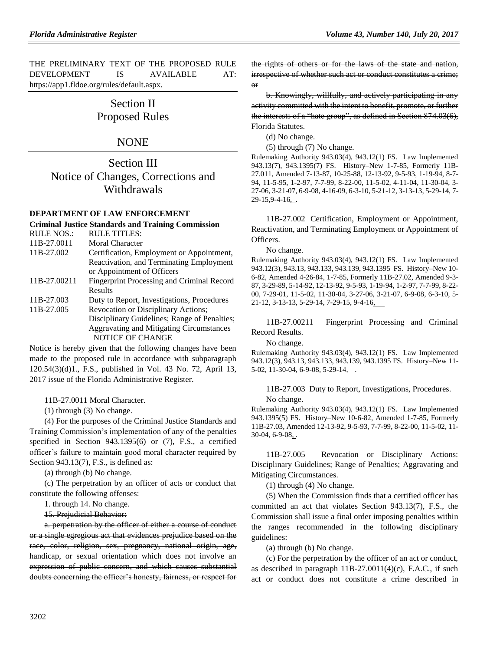THE PRELIMINARY TEXT OF THE PROPOSED RULE DEVELOPMENT IS AVAILABLE AT: [https://app1.fldoe.org/rules/default.aspx.](https://app1.fldoe.org/rules/default.aspx)

## Section II Proposed Rules

### NONE

Section III Notice of Changes, Corrections and Withdrawals

#### **[DEPARTMENT OF LAW ENFORCEMENT](https://www.flrules.org/gateway/department.asp?id=11)**

#### **[Criminal Justice Standards and Training Commission](https://www.flrules.org/gateway/organization.asp?id=20)**

| <b>RULE NOS.:</b> | <b>RULE TITLES:</b>                             |
|-------------------|-------------------------------------------------|
| 11B-27.0011       | Moral Character                                 |
| 11B-27.002        | Certification, Employment or Appointment,       |
|                   | Reactivation, and Terminating Employment        |
|                   | or Appointment of Officers                      |
| 11B-27.00211      | Fingerprint Processing and Criminal Record      |
|                   | Results                                         |
| 11B-27.003        | Duty to Report, Investigations, Procedures      |
| 11B-27.005        | Revocation or Disciplinary Actions;             |
|                   | Disciplinary Guidelines; Range of Penalties;    |
|                   | <b>Aggravating and Mitigating Circumstances</b> |
|                   | <b>NOTICE OF CHANGE</b>                         |

Notice is hereby given that the following changes have been made to the proposed rule in accordance with subparagraph 120.54(3)(d)1., F.S., published in Vol. 43 No. 72, April 13, 2017 issue of the Florida Administrative Register.

11B-27.0011 Moral Character.

(1) through (3) No change.

(4) For the purposes of the Criminal Justice Standards and Training Commission's implementation of any of the penalties specified in Section 943.1395(6) or (7), F.S., a certified officer's failure to maintain good moral character required by Section 943.13(7), F.S., is defined as:

(a) through (b) No change.

(c) The perpetration by an officer of acts or conduct that constitute the following offenses:

1. through 14. No change.

15. Prejudicial Behavior:

a. perpetration by the officer of either a course of conduct or a single egregious act that evidences prejudice based on the race, color, religion, sex, pregnancy, national origin, age, handicap, or sexual orientation which does not involve an expression of public concern, and which causes substantial doubts concerning the officer's honesty, fairness, or respect for the rights of others or for the laws of the state and nation, irrespective of whether such act or conduct constitutes a crime; or

b. Knowingly, willfully, and actively participating in any activity committed with the intent to benefit, promote, or further the interests of a "hate group", as defined in Section 874.03(6), Florida Statutes.

(d) No change.

(5) through (7) No change.

Rulemaking Authority 943.03(4), 943.12(1) FS. Law Implemented 943.13(7), 943.1395(7) FS. History–New 1-7-85, Formerly 11B-27.011, Amended 7-13-87, 10-25-88, 12-13-92, 9-5-93, 1-19-94, 8-7- 94, 11-5-95, 1-2-97, 7-7-99, 8-22-00, 11-5-02, 4-11-04, 11-30-04, 3- 27-06, 3-21-07, 6-9-08, 4-16-09, 6-3-10, 5-21-12, 3-13-13, 5-29-14, 7- 29-15,9-4-16, .

11B-27.002 Certification, Employment or Appointment, Reactivation, and Terminating Employment or Appointment of Officers.

No change.

Rulemaking Authority 943.03(4), 943.12(1) FS. Law Implemented 943.12(3), 943.13, 943.133, 943.139, 943.1395 FS. History–New 10- 6-82, Amended 4-26-84, 1-7-85, Formerly 11B-27.02, Amended 9-3- 87, 3-29-89, 5-14-92, 12-13-92, 9-5-93, 1-19-94, 1-2-97, 7-7-99, 8-22- 00, 7-29-01, 11-5-02, 11-30-04, 3-27-06, 3-21-07, 6-9-08, 6-3-10, 5- 21-12, 3-13-13, 5-29-14, 7-29-15, 9-4-16,

11B-27.00211 Fingerprint Processing and Criminal Record Results.

No change.

Rulemaking Authority 943.03(4), 943.12(1) FS. Law Implemented 943.12(3), 943.13, 943.133, 943.139, 943.1395 FS. History–New 11- 5-02, 11-30-04, 6-9-08, 5-29-14,...

11B-27.003 Duty to Report, Investigations, Procedures. No change.

Rulemaking Authority 943.03(4), 943.12(1) FS. Law Implemented 943.1395(5) FS. History–New 10-6-82, Amended 1-7-85, Formerly 11B-27.03, Amended 12-13-92, 9-5-93, 7-7-99, 8-22-00, 11-5-02, 11- 30-04, 6-9-08, .

11B-27.005 Revocation or Disciplinary Actions: Disciplinary Guidelines; Range of Penalties; Aggravating and Mitigating Circumstances.

(1) through (4) No change.

(5) When the Commission finds that a certified officer has committed an act that violates Section 943.13(7), F.S., the Commission shall issue a final order imposing penalties within the ranges recommended in the following disciplinary guidelines:

(a) through (b) No change.

(c) For the perpetration by the officer of an act or conduct, as described in paragraph 11B-27.0011(4)(c), F.A.C., if such act or conduct does not constitute a crime described in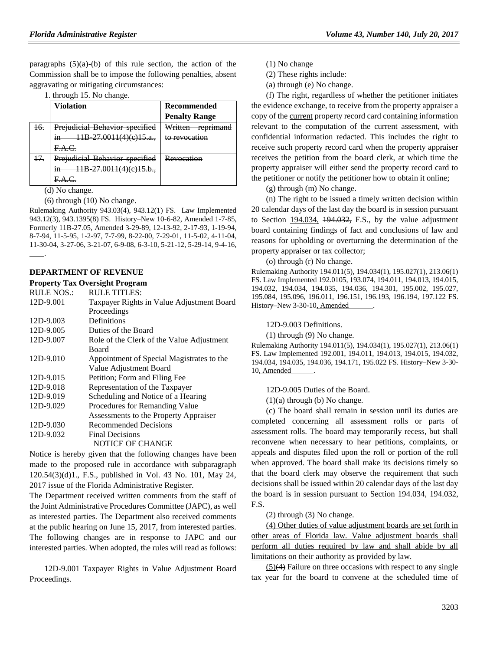paragraphs  $(5)(a)-(b)$  of this rule section, the action of the Commission shall be to impose the following penalties, absent aggravating or mitigating circumstances:

|  | 1. through 15. No change. |  |  |  |
|--|---------------------------|--|--|--|
|--|---------------------------|--|--|--|

|                | <b>Violation</b>                          | <b>Recommended</b>                                 |
|----------------|-------------------------------------------|----------------------------------------------------|
|                |                                           | <b>Penalty Range</b>                               |
| <del>16.</del> | Prejudicial Behavior specified            | Written<br>roprimand<br>100 <del>nnii 1011</del> 0 |
|                | 11В 27.0011(4)(e)15.a.,<br>H <sub>2</sub> | to revocation                                      |
|                | FAC                                       |                                                    |
| 17.            | Prejudicial Behavior specified            | Revocation                                         |
|                | 11B 27.0011(4)(e)15.b.,<br>H <sub>n</sub> |                                                    |
|                |                                           |                                                    |

(d) No change.

(6) through (10) No change.

Rulemaking Authority 943.03(4), 943.12(1) FS. Law Implemented 943.12(3), 943.1395(8) FS. History–New 10-6-82, Amended 1-7-85, Formerly 11B-27.05, Amended 3-29-89, 12-13-92, 2-17-93, 1-19-94, 8-7-94, 11-5-95, 1-2-97, 7-7-99, 8-22-00, 7-29-01, 11-5-02, 4-11-04, 11-30-04, 3-27-06, 3-21-07, 6-9-08, 6-3-10, 5-21-12, 5-29-14, 9-4-16, .

#### **[DEPARTMENT OF REVENUE](https://www.flrules.org/gateway/department.asp?id=12)**

**[Property Tax Oversight Program](https://www.flrules.org/gateway/organization.asp?id=36)**

| <b>RULE NOS.:</b> | <b>RULE TITLES:</b>                       |
|-------------------|-------------------------------------------|
| 12D-9.001         | Taxpayer Rights in Value Adjustment Board |
|                   | Proceedings                               |
| 12D-9.003         | Definitions                               |
| 12D-9.005         | Duties of the Board                       |
| 12D-9.007         | Role of the Clerk of the Value Adjustment |
|                   | Board                                     |
| 12D-9.010         | Appointment of Special Magistrates to the |
|                   | Value Adjustment Board                    |
| 12D-9.015         | Petition; Form and Filing Fee             |
| 12D-9.018         | Representation of the Taxpayer            |
| 12D-9.019         | Scheduling and Notice of a Hearing        |
| 12D-9.029         | Procedures for Remanding Value            |
|                   | Assessments to the Property Appraiser     |
| 12D-9.030         | Recommended Decisions                     |
| 12D-9.032         | <b>Final Decisions</b>                    |
|                   | NOTICE OF CHANGE                          |
|                   |                                           |

Notice is hereby given that the following changes have been made to the proposed rule in accordance with subparagraph 120.54(3)(d)1., F.S., published in Vol. 43 No. 101, May 24, 2017 issue of the Florida Administrative Register.

The Department received written comments from the staff of the Joint Administrative Procedures Committee (JAPC), as well as interested parties. The Department also received comments at the public hearing on June 15, 2017, from interested parties. The following changes are in response to JAPC and our interested parties. When adopted, the rules will read as follows:

12D-9.001 Taxpayer Rights in Value Adjustment Board Proceedings.

(1) No change

(2) These rights include:

(a) through (e) No change.

(f) The right, regardless of whether the petitioner initiates the evidence exchange, to receive from the property appraiser a copy of the current property record card containing information relevant to the computation of the current assessment, with confidential information redacted. This includes the right to receive such property record card when the property appraiser receives the petition from the board clerk, at which time the property appraiser will either send the property record card to the petitioner or notify the petitioner how to obtain it online;

(g) through (m) No change.

(n) The right to be issued a timely written decision within 20 calendar days of the last day the board is in session pursuant to Section  $194.034$ ,  $194.032$ , F.S., by the value adjustment board containing findings of fact and conclusions of law and reasons for upholding or overturning the determination of the property appraiser or tax collector;

(o) through (r) No change.

Rulemaking Authority 194.011(5), 194.034(1), 195.027(1), 213.06(1) FS. Law Implemented 192.0105, 193.074, 194.011, 194.013, 194.015, 194.032, 194.034, 194.035, 194.036, 194.301, 195.002, 195.027, 195.084, 195.096, 196.011, 196.151, 196.193, 196.194, 197.122 FS. History–New 3-30-10, Amended

12D-9.003 Definitions.

(1) through (9) No change.

Rulemaking Authority 194.011(5), 194.034(1), 195.027(1), 213.06(1) FS. Law Implemented 192.001, 194.011, 194.013, 194.015, 194.032, 194.034, 194.035, 194.036, 194.171, 195.022 FS. History–New 3-30- 10, Amended .

12D-9.005 Duties of the Board.

 $(1)(a)$  through  $(b)$  No change.

(c) The board shall remain in session until its duties are completed concerning all assessment rolls or parts of assessment rolls. The board may temporarily recess, but shall reconvene when necessary to hear petitions, complaints, or appeals and disputes filed upon the roll or portion of the roll when approved. The board shall make its decisions timely so that the board clerk may observe the requirement that such decisions shall be issued within 20 calendar days of the last day the board is in session pursuant to Section 194.034, 194.032, F.S.

(2) through (3) No change.

(4) Other duties of value adjustment boards are set forth in other areas of Florida law. Value adjustment boards shall perform all duties required by law and shall abide by all limitations on their authority as provided by law.

(5)(4) Failure on three occasions with respect to any single tax year for the board to convene at the scheduled time of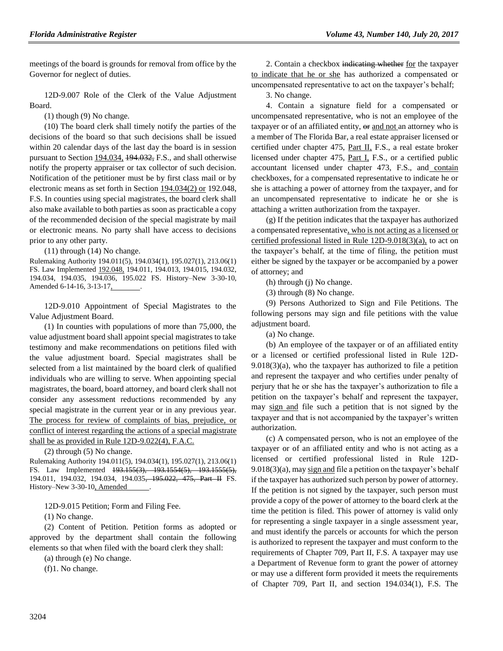meetings of the board is grounds for removal from office by the Governor for neglect of duties.

12D-9.007 Role of the Clerk of the Value Adjustment Board.

(1) though (9) No change.

(10) The board clerk shall timely notify the parties of the decisions of the board so that such decisions shall be issued within 20 calendar days of the last day the board is in session pursuant to Section 194.034, 194.032, F.S., and shall otherwise notify the property appraiser or tax collector of such decision. Notification of the petitioner must be by first class mail or by electronic means as set forth in Section 194.034(2) or 192.048, F.S. In counties using special magistrates, the board clerk shall also make available to both parties as soon as practicable a copy of the recommended decision of the special magistrate by mail or electronic means. No party shall have access to decisions prior to any other party.

(11) through (14) No change.

Rulemaking Authority 194.011(5), 194.034(1), 195.027(1), 213.06(1) FS. Law Implemented 192.048, 194.011, 194.013, 194.015, 194.032, 194.034, 194.035, 194.036, 195.022 FS. History–New 3-30-10, Amended 6-14-16, 3-13-17, .

12D-9.010 Appointment of Special Magistrates to the Value Adjustment Board.

(1) In counties with populations of more than 75,000, the value adjustment board shall appoint special magistrates to take testimony and make recommendations on petitions filed with the value adjustment board. Special magistrates shall be selected from a list maintained by the board clerk of qualified individuals who are willing to serve. When appointing special magistrates, the board, board attorney, and board clerk shall not consider any assessment reductions recommended by any special magistrate in the current year or in any previous year. The process for review of complaints of bias, prejudice, or conflict of interest regarding the actions of a special magistrate shall be as provided in Rule 12D-9.022(4), F.A.C.

(2) through (5) No change.

Rulemaking Authority 194.011(5), 194.034(1), 195.027(1), 213.06(1) FS. Law Implemented 193.155(3), 193.1554(5), 193.1555(5), 194.011, 194.032, 194.034, 194.035<del>, 195.022, 475, Part II</del> FS. History–New 3-30-10, Amended

12D-9.015 Petition; Form and Filing Fee.

(1) No change.

(2) Content of Petition. Petition forms as adopted or approved by the department shall contain the following elements so that when filed with the board clerk they shall:

(a) through (e) No change.

(f)1. No change.

2. Contain a checkbox indicating whether for the taxpayer to indicate that he or she has authorized a compensated or uncompensated representative to act on the taxpayer's behalf;

3. No change.

4. Contain a signature field for a compensated or uncompensated representative, who is not an employee of the taxpayer or of an affiliated entity, or and not an attorney who is a member of The Florida Bar, a real estate appraiser licensed or certified under chapter 475, Part II, F.S., a real estate broker licensed under chapter 475, Part I, F.S., or a certified public accountant licensed under chapter 473, F.S., and contain checkboxes, for a compensated representative to indicate he or she is attaching a power of attorney from the taxpayer, and for an uncompensated representative to indicate he or she is attaching a written authorization from the taxpayer.

(g) If the petition indicates that the taxpayer has authorized a compensated representative, who is not acting as a licensed or certified professional listed in Rule 12D-9.018(3)(a), to act on the taxpayer's behalf, at the time of filing, the petition must either be signed by the taxpayer or be accompanied by a power of attorney; and

(h) through (j) No change.

(3) through (8) No change.

(9) Persons Authorized to Sign and File Petitions. The following persons may sign and file petitions with the value adjustment board.

(a) No change.

(b) An employee of the taxpayer or of an affiliated entity or a licensed or certified professional listed in Rule 12D-9.018(3)(a), who the taxpayer has authorized to file a petition and represent the taxpayer and who certifies under penalty of perjury that he or she has the taxpayer's authorization to file a petition on the taxpayer's behalf and represent the taxpayer, may sign and file such a petition that is not signed by the taxpayer and that is not accompanied by the taxpayer's written authorization.

(c) A compensated person, who is not an employee of the taxpayer or of an affiliated entity and who is not acting as a licensed or certified professional listed in Rule 12D- $9.018(3)(a)$ , may sign and file a petition on the taxpayer's behalf if the taxpayer has authorized such person by power of attorney. If the petition is not signed by the taxpayer, such person must provide a copy of the power of attorney to the board clerk at the time the petition is filed. This power of attorney is valid only for representing a single taxpayer in a single assessment year, and must identify the parcels or accounts for which the person is authorized to represent the taxpayer and must conform to the requirements of Chapter 709, Part II, F.S. A taxpayer may use a Department of Revenue form to grant the power of attorney or may use a different form provided it meets the requirements of Chapter 709, Part II, and section 194.034(1), F.S. The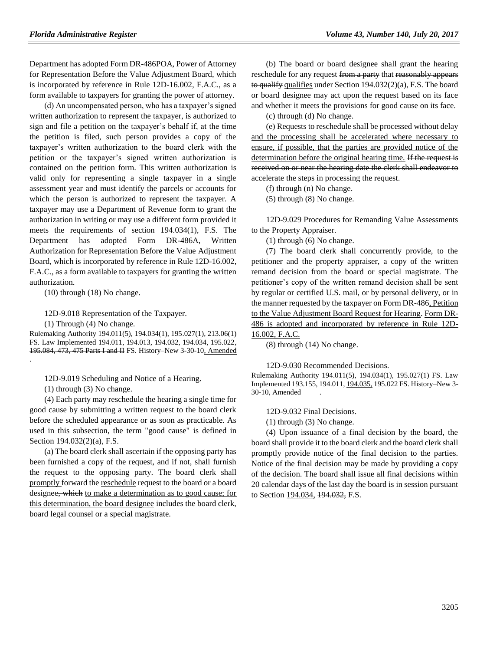Department has adopted Form DR-486POA, Power of Attorney for Representation Before the Value Adjustment Board, which is incorporated by reference in Rule 12D-16.002, F.A.C., as a form available to taxpayers for granting the power of attorney.

(d) An uncompensated person, who has a taxpayer's signed written authorization to represent the taxpayer, is authorized to sign and file a petition on the taxpayer's behalf if, at the time the petition is filed, such person provides a copy of the taxpayer's written authorization to the board clerk with the petition or the taxpayer's signed written authorization is contained on the petition form. This written authorization is valid only for representing a single taxpayer in a single assessment year and must identify the parcels or accounts for which the person is authorized to represent the taxpayer. A taxpayer may use a Department of Revenue form to grant the authorization in writing or may use a different form provided it meets the requirements of section 194.034(1), F.S. The Department has adopted Form DR-486A, Written Authorization for Representation Before the Value Adjustment Board, which is incorporated by reference in Rule 12D-16.002, F.A.C., as a form available to taxpayers for granting the written authorization.

(10) through (18) No change.

12D-9.018 Representation of the Taxpayer.

(1) Through (4) No change.

Rulemaking Authority 194.011(5), 194.034(1), 195.027(1), 213.06(1) FS. Law Implemented 194.011, 194.013, 194.032, 194.034, 195.022, 195.084, 473, 475 Parts I and II FS. History–New 3-30-10, Amended .

12D-9.019 Scheduling and Notice of a Hearing.

(1) through (3) No change.

(4) Each party may reschedule the hearing a single time for good cause by submitting a written request to the board clerk before the scheduled appearance or as soon as practicable. As used in this subsection, the term "good cause" is defined in Section 194.032(2)(a), F.S.

(a) The board clerk shall ascertain if the opposing party has been furnished a copy of the request, and if not, shall furnish the request to the opposing party. The board clerk shall promptly forward the reschedule request to the board or a board designee, which to make a determination as to good cause; for this determination, the board designee includes the board clerk, board legal counsel or a special magistrate.

(b) The board or board designee shall grant the hearing reschedule for any request from a party that reasonably appears to qualify qualifies under Section  $194.032(2)(a)$ , F.S. The board or board designee may act upon the request based on its face and whether it meets the provisions for good cause on its face.

(c) through (d) No change.

(e) Requests to reschedule shall be processed without delay and the processing shall be accelerated where necessary to ensure, if possible, that the parties are provided notice of the determination before the original hearing time. If the request is received on or near the hearing date the clerk shall endeavor to accelerate the steps in processing the request.

(f) through (n) No change.

(5) through (8) No change.

12D-9.029 Procedures for Remanding Value Assessments to the Property Appraiser.

(1) through (6) No change.

(7) The board clerk shall concurrently provide, to the petitioner and the property appraiser, a copy of the written remand decision from the board or special magistrate. The petitioner's copy of the written remand decision shall be sent by regular or certified U.S. mail, or by personal delivery, or in the manner requested by the taxpayer on Form DR-486, Petition to the Value Adjustment Board Request for Hearing. Form DR-486 is adopted and incorporated by reference in Rule 12D-16.002, F.A.C.

(8) through (14) No change.

12D-9.030 Recommended Decisions.

Rulemaking Authority 194.011(5), 194.034(1), 195.027(1) FS. Law Implemented 193.155, 194.011, 194.035, 195.022 FS. History–New 3- 30-10, Amended .

12D-9.032 Final Decisions.

(1) through (3) No change.

(4) Upon issuance of a final decision by the board, the board shall provide it to the board clerk and the board clerk shall promptly provide notice of the final decision to the parties. Notice of the final decision may be made by providing a copy of the decision. The board shall issue all final decisions within 20 calendar days of the last day the board is in session pursuant to Section 194.034, 194.032, F.S.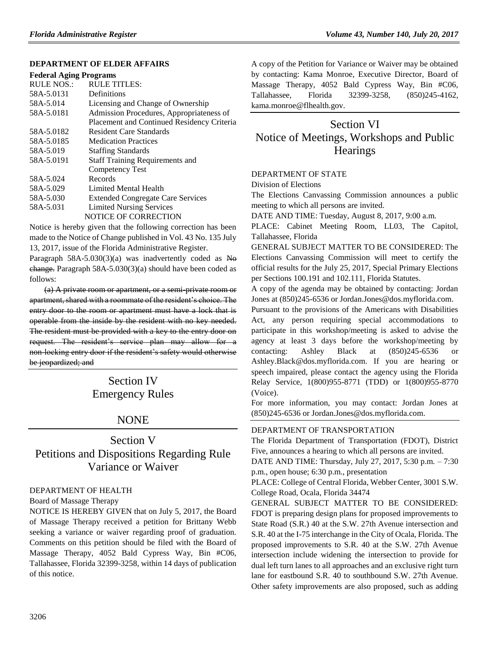#### **DEPARTMENT [OF ELDER AFFAIRS](https://www.flrules.org/gateway/department.asp?id=58)**

#### **[Federal Aging Programs](https://www.flrules.org/gateway/organization.asp?id=179)**

| <b>RULE NOS.:</b> | <b>RULE TITLES:</b>                        |
|-------------------|--------------------------------------------|
| 58A-5.0131        | Definitions                                |
| 58A-5.014         | Licensing and Change of Ownership          |
| 58A-5.0181        | Admission Procedures, Appropriateness of   |
|                   | Placement and Continued Residency Criteria |
| 58A-5.0182        | <b>Resident Care Standards</b>             |
| 58A-5.0185        | <b>Medication Practices</b>                |
| 58A-5.019         | <b>Staffing Standards</b>                  |
| 58A-5.0191        | <b>Staff Training Requirements and</b>     |
|                   | Competency Test                            |
| 58A-5.024         | Records                                    |
| 58A-5.029         | Limited Mental Health                      |
| 58A-5.030         | <b>Extended Congregate Care Services</b>   |
| 58A-5.031         | <b>Limited Nursing Services</b>            |
|                   | <b>NOTICE OF CORRECTION</b>                |

Notice is hereby given that the following correction has been made to the Notice of Change published in Vol. 43 No. 135 July 13, 2017, issue of the Florida Administrative Register.

Paragraph  $58A-5.030(3)(a)$  was inadvertently coded as No change. Paragraph 58A-5.030(3)(a) should have been coded as follows:

(a) A private room or apartment, or a semi-private room or apartment, shared with a roommate of the resident's choice. The entry door to the room or apartment must have a lock that is operable from the inside by the resident with no key needed. The resident must be provided with a key to the entry door on request. The resident's service plan may allow for a non-locking entry door if the resident's safety would otherwise be jeopardized; and

> Section IV Emergency Rules

## NONE

## Section V Petitions and Dispositions Regarding Rule Variance or Waiver

#### [DEPARTMENT OF HEALTH](https://www.flrules.org/gateway/department.asp?id=64)

#### [Board of Massage Therapy](https://www.flrules.org/gateway/organization.asp?id=330)

NOTICE IS HEREBY GIVEN that on July 5, 2017, the Board of Massage Therapy received a petition for Brittany Webb seeking a variance or waiver regarding proof of graduation. Comments on this petition should be filed with the Board of Massage Therapy, 4052 Bald Cypress Way, Bin #C06, Tallahassee, Florida 32399-3258, within 14 days of publication of this notice.

A copy of the Petition for Variance or Waiver may be obtained by contacting: Kama Monroe, Executive Director, Board of Massage Therapy, 4052 Bald Cypress Way, Bin #C06, Tallahassee, Florida 32399-3258, (850)245-4162, [kama.monroe@flhealth.gov.](mailto:kama.monroe@flhealth.gov)

## Section VI Notice of Meetings, Workshops and Public **Hearings**

#### [DEPARTMENT OF STATE](https://www.flrules.org/gateway/department.asp?id=1)

[Division of Elections](https://www.flrules.org/gateway/organization.asp?id=16)

The Elections Canvassing Commission announces a public meeting to which all persons are invited.

DATE AND TIME: Tuesday, August 8, 2017, 9:00 a.m.

PLACE: Cabinet Meeting Room, LL03, The Capitol, Tallahassee, Florida

GENERAL SUBJECT MATTER TO BE CONSIDERED: The Elections Canvassing Commission will meet to certify the official results for the July 25, 2017, Special Primary Elections per Sections 100.191 and 102.111, Florida Statutes.

A copy of the agenda may be obtained by contacting: Jordan Jones at (850)245-6536 or [Jordan.Jones@dos.myflorida.com.](mailto:Jordan.Jones@dos.myflorida.com)

Pursuant to the provisions of the Americans with Disabilities Act, any person requiring special accommodations to participate in this workshop/meeting is asked to advise the agency at least 3 days before the workshop/meeting by contacting: Ashley Black at (850)245-6536 or [Ashley.Black@dos.myflorida.com.](mailto:Ashley.Black@dos.myflorida.com) If you are hearing or speech impaired, please contact the agency using the Florida Relay Service, 1(800)955-8771 (TDD) or 1(800)955-8770 (Voice).

For more information, you may contact: Jordan Jones at (850)245-6536 or [Jordan.Jones@dos.myflorida.com.](mailto:Jordan.Jones@dos.myflorida.com)

#### [DEPARTMENT OF TRANSPORTATION](https://www.flrules.org/gateway/department.asp?id=14)

The Florida Department of Transportation (FDOT), District Five, announces a hearing to which all persons are invited.

DATE AND TIME: Thursday, July 27, 2017, 5:30 p.m. – 7:30 p.m., open house; 6:30 p.m., presentation

PLACE: College of Central Florida, Webber Center, 3001 S.W. College Road, Ocala, Florida 34474

GENERAL SUBJECT MATTER TO BE CONSIDERED: FDOT is preparing design plans for proposed improvements to State Road (S.R.) 40 at the S.W. 27th Avenue intersection and S.R. 40 at the I-75 interchange in the City of Ocala, Florida. The proposed improvements to S.R. 40 at the S.W. 27th Avenue intersection include widening the intersection to provide for dual left turn lanes to all approaches and an exclusive right turn lane for eastbound S.R. 40 to southbound S.W. 27th Avenue. Other safety improvements are also proposed, such as adding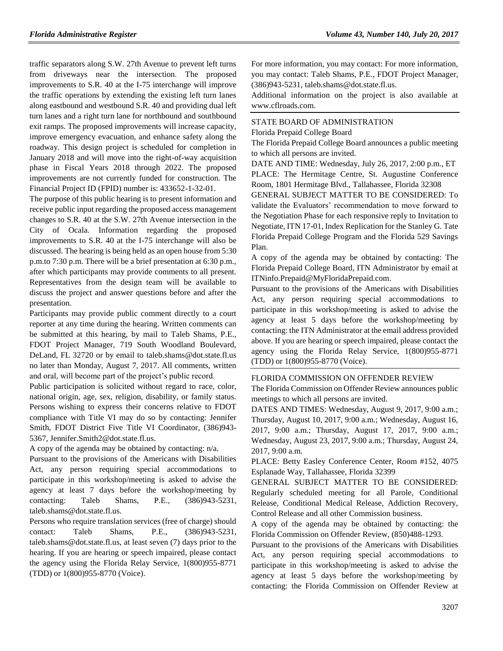traffic separators along S.W. 27th Avenue to prevent left turns from driveways near the intersection. The proposed improvements to S.R. 40 at the I-75 interchange will improve the traffic operations by extending the existing left turn lanes along eastbound and westbound S.R. 40 and providing dual left turn lanes and a right turn lane for northbound and southbound exit ramps. The proposed improvements will increase capacity, improve emergency evacuation, and enhance safety along the roadway. This design project is scheduled for completion in January 2018 and will move into the right-of-way acquisition phase in Fiscal Years 2018 through 2022. The proposed improvements are not currently funded for construction. The Financial Project ID (FPID) number is: 433652-1-32-01.

The purpose of this public hearing is to present information and receive public input regarding the proposed access management changes to S.R. 40 at the S.W. 27th Avenue intersection in the City of Ocala. Information regarding the proposed improvements to S.R. 40 at the I-75 interchange will also be discussed. The hearing is being held as an open house from 5:30 p.m.to 7:30 p.m. There will be a brief presentation at 6:30 p.m., after which participants may provide comments to all present. Representatives from the design team will be available to discuss the project and answer questions before and after the presentation.

Participants may provide public comment directly to a court reporter at any time during the hearing. Written comments can be submitted at this hearing, by mail to Taleb Shams, P.E., FDOT Project Manager, 719 South Woodland Boulevard, DeLand, FL 32720 or by email to [taleb.shams@dot.state.fl.us](mailto:taleb.shams@dot.state.fl.us) no later than Monday, August 7, 2017. All comments, written and oral, will become part of the project's public record.

Public participation is solicited without regard to race, color, national origin, age, sex, religion, disability, or family status. Persons wishing to express their concerns relative to FDOT compliance with Title VI may do so by contacting: Jennifer Smith, FDOT District Five Title VI Coordinator, (386)943- 5367, [Jennifer.Smith2@dot.state.fl.us.](mailto:Jennifer.Smith2@dot.state.fl.us)

A copy of the agenda may be obtained by contacting: n/a.

Pursuant to the provisions of the Americans with Disabilities Act, any person requiring special accommodations to participate in this workshop/meeting is asked to advise the agency at least 7 days before the workshop/meeting by contacting: Taleb Shams, P.E., (386)943-5231, [taleb.shams@dot.state.fl.us.](mailto:taleb.shams@dot.state.fl.us)

Persons who require translation services (free of charge) should contact: Taleb Shams, P.E., (386)943-5231, [taleb.shams@dot.state.fl.us,](mailto:taleb.shams@dot.state.fl.us) at least seven (7) days prior to the hearing. If you are hearing or speech impaired, please contact the agency using the Florida Relay Service, 1(800)955-8771 (TDD) or 1(800)955-8770 (Voice).

For more information, you may contact: For more information, you may contact: Taleb Shams, P.E., FDOT Project Manager, (386)943-5231, [taleb.shams@dot.state.fl.us.](mailto:taleb.shams@dot.state.fl.us)

Additional information on the project is also available at [www.cflroads.com.](http://www.cflroads.com/)

## [STATE BOARD OF ADMINISTRATION](https://www.flrules.org/gateway/department.asp?id=19)

[Florida Prepaid College Board](https://www.flrules.org/gateway/organization.asp?id=47)

The Florida Prepaid College Board announces a public meeting to which all persons are invited.

DATE AND TIME: Wednesday, July 26, 2017, 2:00 p.m., ET PLACE: The Hermitage Centre, St. Augustine Conference Room, 1801 Hermitage Blvd., Tallahassee, Florida 32308

GENERAL SUBJECT MATTER TO BE CONSIDERED: To validate the Evaluators' recommendation to move forward to the Negotiation Phase for each responsive reply to Invitation to Negotiate, ITN 17-01, Index Replication for the Stanley G. Tate Florida Prepaid College Program and the Florida 529 Savings Plan.

A copy of the agenda may be obtained by contacting: The Florida Prepaid College Board, ITN Administrator by email at [ITNinfo.Prepaid@MyFloridaPrepaid.com.](mailto:ITNinfo.Prepaid@MyFloridaPrepaid.com)

Pursuant to the provisions of the Americans with Disabilities Act, any person requiring special accommodations to participate in this workshop/meeting is asked to advise the agency at least 5 days before the workshop/meeting by contacting: the ITN Administrator at the email address provided above. If you are hearing or speech impaired, please contact the agency using the Florida Relay Service, 1(800)955-8771 (TDD) or 1(800)955-8770 (Voice).

#### [FLORIDA COMMISSION ON OFFENDER REVIEW](https://www.flrules.org/gateway/department.asp?id=23)

The Florida Commission on Offender Review announces public meetings to which all persons are invited.

DATES AND TIMES: Wednesday, August 9, 2017, 9:00 a.m.; Thursday, August 10, 2017, 9:00 a.m.; Wednesday, August 16, 2017, 9:00 a.m.; Thursday, August 17, 2017, 9:00 a.m.; Wednesday, August 23, 2017, 9:00 a.m.; Thursday, August 24, 2017, 9:00 a.m.

PLACE: Betty Easley Conference Center, Room #152, 4075 Esplanade Way, Tallahassee, Florida 32399

GENERAL SUBJECT MATTER TO BE CONSIDERED: Regularly scheduled meeting for all Parole, Conditional Release, Conditional Medical Release, Addiction Recovery, Control Release and all other Commission business.

A copy of the agenda may be obtained by contacting: the Florida Commission on Offender Review, (850)488-1293.

Pursuant to the provisions of the Americans with Disabilities Act, any person requiring special accommodations to participate in this workshop/meeting is asked to advise the agency at least 5 days before the workshop/meeting by contacting: the Florida Commission on Offender Review at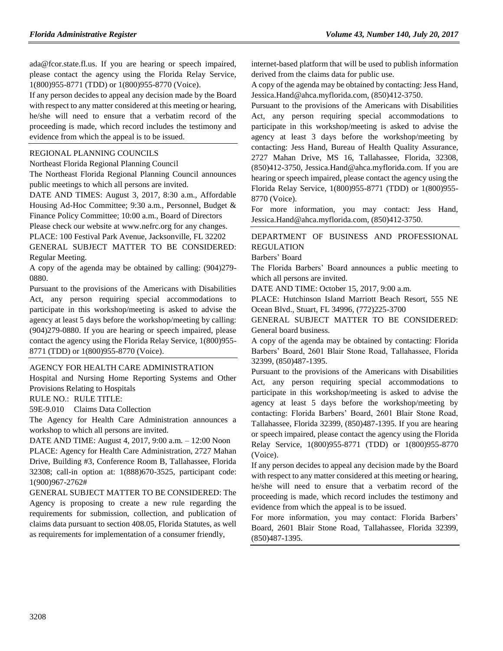[ada@fcor.state.fl.us.](mailto:ada@fcor.state.fl.us) If you are hearing or speech impaired, please contact the agency using the Florida Relay Service, 1(800)955-8771 (TDD) or 1(800)955-8770 (Voice).

If any person decides to appeal any decision made by the Board with respect to any matter considered at this meeting or hearing, he/she will need to ensure that a verbatim record of the proceeding is made, which record includes the testimony and evidence from which the appeal is to be issued.

#### [REGIONAL PLANNING COUNCILS](https://www.flrules.org/gateway/department.asp?id=29)

[Northeast Florida Regional Planning Council](https://www.flrules.org/gateway/organization.asp?id=60)

The Northeast Florida Regional Planning Council announces public meetings to which all persons are invited.

DATE AND TIMES: August 3, 2017, 8:30 a.m., Affordable Housing Ad-Hoc Committee; 9:30 a.m., Personnel, Budget & Finance Policy Committee; 10:00 a.m., Board of Directors

Please check our website at [www.nefrc.org](http://www.nefrc.org/) for any changes. PLACE: 100 Festival Park Avenue, Jacksonville, FL 32202

GENERAL SUBJECT MATTER TO BE CONSIDERED: Regular Meeting.

A copy of the agenda may be obtained by calling: (904)279- 0880.

Pursuant to the provisions of the Americans with Disabilities Act, any person requiring special accommodations to participate in this workshop/meeting is asked to advise the agency at least 5 days before the workshop/meeting by calling: (904)279-0880. If you are hearing or speech impaired, please contact the agency using the Florida Relay Service, 1(800)955- 8771 (TDD) or 1(800)955-8770 (Voice).

#### [AGENCY FOR HEALTH CARE ADMINISTRATION](https://www.flrules.org/gateway/department.asp?id=59)

[Hospital and Nursing Home Reporting Systems and Other](https://www.flrules.org/gateway/organization.asp?id=190)  [Provisions Relating to Hospitals](https://www.flrules.org/gateway/organization.asp?id=190)

RULE NO.: RULE TITLE:

[59E-9.010](https://www.flrules.org/gateway/ruleNo.asp?id=59E-9.010) Claims Data Collection

The Agency for Health Care Administration announces a workshop to which all persons are invited.

DATE AND TIME: August 4, 2017, 9:00 a.m. – 12:00 Noon

PLACE: Agency for Health Care Administration, 2727 Mahan Drive, Building #3, Conference Room B, Tallahassee, Florida 32308; call-in option at: 1(888)670-3525, participant code: 1(900)967-2762#

GENERAL SUBJECT MATTER TO BE CONSIDERED: The Agency is proposing to create a new rule regarding the requirements for submission, collection, and publication of claims data pursuant to section 408.05, Florida Statutes, as well as requirements for implementation of a consumer friendly,

internet-based platform that will be used to publish information derived from the claims data for public use.

A copy of the agenda may be obtained by contacting: Jess Hand, [Jessica.Hand@ahca.myflorida.com,](mailto:Jessica.Hand@ahca.myflorida.com) (850)412-3750.

Pursuant to the provisions of the Americans with Disabilities Act, any person requiring special accommodations to participate in this workshop/meeting is asked to advise the agency at least 3 days before the workshop/meeting by contacting: Jess Hand, Bureau of Health Quality Assurance, 2727 Mahan Drive, MS 16, Tallahassee, Florida, 32308, (850)412-3750, [Jessica.Hand@ahca.myflorida.com.](mailto:Jessica.Hand@ahca.myflorida.com) If you are hearing or speech impaired, please contact the agency using the Florida Relay Service, 1(800)955-8771 (TDD) or 1(800)955- 8770 (Voice).

For more information, you may contact: Jess Hand, [Jessica.Hand@ahca.myflorida.com,](mailto:Jessica.Hand@ahca.myflorida.com) (850)412-3750.

### [DEPARTMENT OF BUSINESS AND PROFESSIONAL](https://www.flrules.org/gateway/department.asp?id=61)  [REGULATION](https://www.flrules.org/gateway/department.asp?id=61)

[Barbers' Board](https://www.flrules.org/gateway/organization.asp?id=273)

The Florida Barbers' Board announces a public meeting to which all persons are invited.

DATE AND TIME: October 15, 2017, 9:00 a.m.

PLACE: Hutchinson Island Marriott Beach Resort, 555 NE Ocean Blvd., Stuart, FL 34996, (772)225-3700

GENERAL SUBJECT MATTER TO BE CONSIDERED: General board business.

A copy of the agenda may be obtained by contacting: Florida Barbers' Board, 2601 Blair Stone Road, Tallahassee, Florida 32399, (850)487-1395.

Pursuant to the provisions of the Americans with Disabilities Act, any person requiring special accommodations to participate in this workshop/meeting is asked to advise the agency at least 5 days before the workshop/meeting by contacting: Florida Barbers' Board, 2601 Blair Stone Road, Tallahassee, Florida 32399, (850)487-1395. If you are hearing or speech impaired, please contact the agency using the Florida Relay Service, 1(800)955-8771 (TDD) or 1(800)955-8770 (Voice).

If any person decides to appeal any decision made by the Board with respect to any matter considered at this meeting or hearing, he/she will need to ensure that a verbatim record of the proceeding is made, which record includes the testimony and evidence from which the appeal is to be issued.

For more information, you may contact: Florida Barbers' Board, 2601 Blair Stone Road, Tallahassee, Florida 32399, (850)487-1395.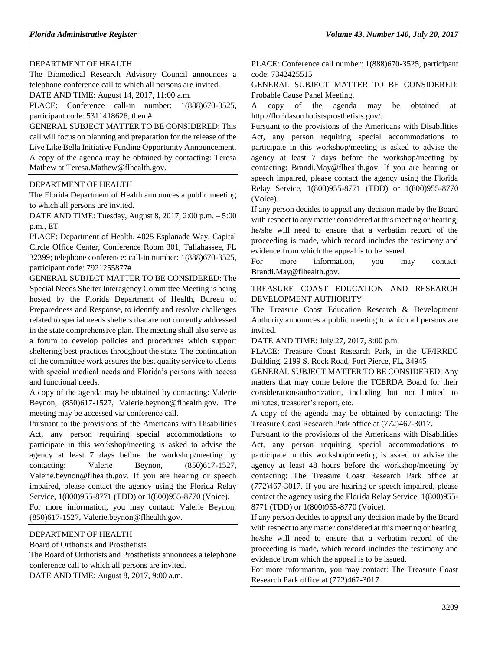#### [DEPARTMENT OF HEALTH](https://www.flrules.org/gateway/department.asp?id=64)

The Biomedical Research Advisory Council announces a telephone conference call to which all persons are invited.

DATE AND TIME: August 14, 2017, 11:00 a.m.

PLACE: Conference call-in number: 1(888)670-3525, participant code: 5311418626, then #

GENERAL SUBJECT MATTER TO BE CONSIDERED: This call will focus on planning and preparation for the release of the Live Like Bella Initiative Funding Opportunity Announcement. A copy of the agenda may be obtained by contacting: Teresa Mathew at [Teresa.Mathew@flhealth.gov.](mailto:Teresa.Mathew@flhealth.gov)

#### [DEPARTMENT OF HEALTH](https://www.flrules.org/gateway/department.asp?id=64)

The Florida Department of Health announces a public meeting to which all persons are invited.

DATE AND TIME: Tuesday, August 8, 2017, 2:00 p.m. – 5:00 p.m., ET

PLACE: Department of Health, 4025 Esplanade Way, Capital Circle Office Center, Conference Room 301, Tallahassee, FL 32399; telephone conference: call-in number: 1(888)670-3525, participant code: 7921255877#

GENERAL SUBJECT MATTER TO BE CONSIDERED: The Special Needs Shelter Interagency Committee Meeting is being hosted by the Florida Department of Health, Bureau of Preparedness and Response, to identify and resolve challenges related to special needs shelters that are not currently addressed in the state comprehensive plan. The meeting shall also serve as a forum to develop policies and procedures which support sheltering best practices throughout the state. The continuation of the committee work assures the best quality service to clients with special medical needs and Florida's persons with access and functional needs.

A copy of the agenda may be obtained by contacting: Valerie Beynon, (850)617-1527, [Valerie.beynon@flhealth.gov.](mailto:Valerie.beynon@flhealth.gov) The meeting may be accessed via conference call.

Pursuant to the provisions of the Americans with Disabilities Act, any person requiring special accommodations to participate in this workshop/meeting is asked to advise the agency at least 7 days before the workshop/meeting by contacting: Valerie Beynon,  $(850)617-1527$ , [Valerie.beynon@flhealth.gov.](mailto:Valerie.beynon@flhealth.gov) If you are hearing or speech impaired, please contact the agency using the Florida Relay Service, 1(800)955-8771 (TDD) or 1(800)955-8770 (Voice).

For more information, you may contact: Valerie Beynon, (850)617-1527, [Valerie.beynon@flhealth.gov.](mailto:Valerie.beynon@flhealth.gov)

#### [DEPARTMENT OF HEALTH](https://www.flrules.org/gateway/department.asp?id=64)

[Board of Orthotists and Prosthetists](https://www.flrules.org/gateway/organization.asp?id=305)

The Board of Orthotists and Prosthetists announces a telephone conference call to which all persons are invited. DATE AND TIME: August 8, 2017, 9:00 a.m.

PLACE: Conference call number: 1(888)670-3525, participant code: 7342425515

GENERAL SUBJECT MATTER TO BE CONSIDERED: Probable Cause Panel Meeting.

A copy of the agenda may be obtained at: [http://floridasorthotistsprosthetists.gov/.](http://floridasorthotistsprosthetists.gov/)

Pursuant to the provisions of the Americans with Disabilities Act, any person requiring special accommodations to participate in this workshop/meeting is asked to advise the agency at least 7 days before the workshop/meeting by contacting: [Brandi.May@flhealth.gov.](mailto:Brandi.May@flhealth.gov) If you are hearing or speech impaired, please contact the agency using the Florida Relay Service, 1(800)955-8771 (TDD) or 1(800)955-8770 (Voice).

If any person decides to appeal any decision made by the Board with respect to any matter considered at this meeting or hearing, he/she will need to ensure that a verbatim record of the proceeding is made, which record includes the testimony and evidence from which the appeal is to be issued.

For more information, you may contact: [Brandi.May@flhealth.gov.](mailto:Brandi.May@flhealth.gov)

#### [TREASURE COAST EDUCATION AND RESEARCH](https://www.flrules.org/gateway/organization.asp?id=778)  [DEVELOPMENT AUTHORITY](https://www.flrules.org/gateway/organization.asp?id=778)

The Treasure Coast Education Research & Development Authority announces a public meeting to which all persons are invited.

DATE AND TIME: July 27, 2017, 3:00 p.m.

PLACE: Treasure Coast Research Park, in the UF/IRREC Building, 2199 S. Rock Road, Fort Pierce, FL, 34945

GENERAL SUBJECT MATTER TO BE CONSIDERED: Any matters that may come before the TCERDA Board for their consideration/authorization, including but not limited to minutes, treasurer's report, etc.

A copy of the agenda may be obtained by contacting: The Treasure Coast Research Park office at (772)467-3017.

Pursuant to the provisions of the Americans with Disabilities Act, any person requiring special accommodations to participate in this workshop/meeting is asked to advise the agency at least 48 hours before the workshop/meeting by contacting: The Treasure Coast Research Park office at (772)467-3017. If you are hearing or speech impaired, please contact the agency using the Florida Relay Service, 1(800)955- 8771 (TDD) or 1(800)955-8770 (Voice).

If any person decides to appeal any decision made by the Board with respect to any matter considered at this meeting or hearing, he/she will need to ensure that a verbatim record of the proceeding is made, which record includes the testimony and evidence from which the appeal is to be issued.

For more information, you may contact: The Treasure Coast Research Park office at (772)467-3017.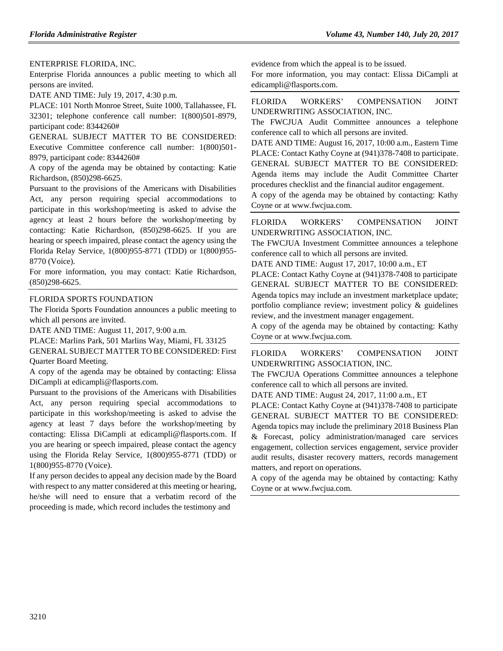#### [ENTERPRISE FLORIDA, INC.](https://www.flrules.org/gateway/organization.asp?id=680)

Enterprise Florida announces a public meeting to which all persons are invited.

DATE AND TIME: July 19, 2017, 4:30 p.m.

PLACE: 101 North Monroe Street, Suite 1000, Tallahassee, FL 32301; telephone conference call number: 1(800)501-8979, participant code: 8344260#

GENERAL SUBJECT MATTER TO BE CONSIDERED: Executive Committee conference call number: 1(800)501- 8979, participant code: 8344260#

A copy of the agenda may be obtained by contacting: Katie Richardson, (850)298-6625.

Pursuant to the provisions of the Americans with Disabilities Act, any person requiring special accommodations to participate in this workshop/meeting is asked to advise the agency at least 2 hours before the workshop/meeting by contacting: Katie Richardson, (850)298-6625. If you are hearing or speech impaired, please contact the agency using the Florida Relay Service, 1(800)955-8771 (TDD) or 1(800)955- 8770 (Voice).

For more information, you may contact: Katie Richardson, (850)298-6625.

#### [FLORIDA SPORTS FOUNDATION](https://www.flrules.org/gateway/organization.asp?id=690)

The Florida Sports Foundation announces a public meeting to which all persons are invited.

DATE AND TIME: August 11, 2017, 9:00 a.m.

PLACE: Marlins Park, 501 Marlins Way, Miami, FL 33125

GENERAL SUBJECT MATTER TO BE CONSIDERED: First Quarter Board Meeting.

A copy of the agenda may be obtained by contacting: Elissa DiCampli a[t edicampli@flasports.com.](mailto:edicampli@flasports.com)

Pursuant to the provisions of the Americans with Disabilities Act, any person requiring special accommodations to participate in this workshop/meeting is asked to advise the agency at least 7 days before the workshop/meeting by contacting: Elissa DiCampli at [edicampli@flasports.com.](mailto:edicampli@flasports.com) If you are hearing or speech impaired, please contact the agency using the Florida Relay Service, 1(800)955-8771 (TDD) or 1(800)955-8770 (Voice).

If any person decides to appeal any decision made by the Board with respect to any matter considered at this meeting or hearing, he/she will need to ensure that a verbatim record of the proceeding is made, which record includes the testimony and

evidence from which the appeal is to be issued.

For more information, you may contact: Elissa DiCampli at [edicampli@flasports.com.](mailto:edicampli@flasports.com)

[FLORIDA WORKERS' COMPENSATION JOINT](https://www.flrules.org/gateway/organization.asp?id=757)  [UNDERWRITING ASSOCIATION, INC.](https://www.flrules.org/gateway/organization.asp?id=757)

The FWCJUA Audit Committee announces a telephone conference call to which all persons are invited.

DATE AND TIME: August 16, 2017, 10:00 a.m., Eastern Time PLACE: Contact Kathy Coyne at (941)378-7408 to participate. GENERAL SUBJECT MATTER TO BE CONSIDERED: Agenda items may include the Audit Committee Charter procedures checklist and the financial auditor engagement.

A copy of the agenda may be obtained by contacting: Kathy Coyne or at [www.fwcjua.com.](http://www.fwcjua.com/)

[FLORIDA WORKERS' COMPENSATION JOINT](https://www.flrules.org/gateway/organization.asp?id=757)  [UNDERWRITING ASSOCIATION, INC.](https://www.flrules.org/gateway/organization.asp?id=757)

The FWCJUA Investment Committee announces a telephone conference call to which all persons are invited.

DATE AND TIME: August 17, 2017, 10:00 a.m., ET

PLACE: Contact Kathy Coyne at (941)378-7408 to participate GENERAL SUBJECT MATTER TO BE CONSIDERED: Agenda topics may include an investment marketplace update; portfolio compliance review; investment policy & guidelines review, and the investment manager engagement.

A copy of the agenda may be obtained by contacting: Kathy Coyne or at [www.fwcjua.com.](http://www.fwcjua.com/)

[FLORIDA WORKERS' COMPENSATION JOINT](https://www.flrules.org/gateway/organization.asp?id=757)  [UNDERWRITING ASSOCIATION, INC.](https://www.flrules.org/gateway/organization.asp?id=757)

The FWCJUA Operations Committee announces a telephone conference call to which all persons are invited.

DATE AND TIME: August 24, 2017, 11:00 a.m., ET

PLACE: Contact Kathy Coyne at (941)378-7408 to participate GENERAL SUBJECT MATTER TO BE CONSIDERED: Agenda topics may include the preliminary 2018 Business Plan & Forecast, policy administration/managed care services engagement, collection services engagement, service provider audit results, disaster recovery matters, records management matters, and report on operations.

A copy of the agenda may be obtained by contacting: Kathy Coyne or at [www.fwcjua.com.](http://www.fwcjua.com/)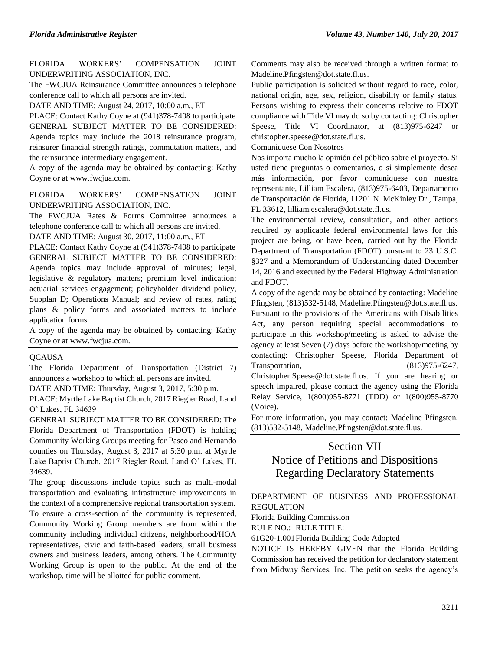[FLORIDA WORKERS' COMPENSATION JOINT](https://www.flrules.org/gateway/organization.asp?id=757)  [UNDERWRITING ASSOCIATION, INC.](https://www.flrules.org/gateway/organization.asp?id=757)

The FWCJUA Reinsurance Committee announces a telephone conference call to which all persons are invited.

DATE AND TIME: August 24, 2017, 10:00 a.m., ET

PLACE: Contact Kathy Coyne at (941)378-7408 to participate GENERAL SUBJECT MATTER TO BE CONSIDERED: Agenda topics may include the 2018 reinsurance program, reinsurer financial strength ratings, commutation matters, and the reinsurance intermediary engagement.

A copy of the agenda may be obtained by contacting: Kathy Coyne or at [www.fwcjua.com.](http://www.fwcjua.com/)

[FLORIDA WORKERS' COMPENSATION JOINT](https://www.flrules.org/gateway/organization.asp?id=757)  [UNDERWRITING ASSOCIATION, INC.](https://www.flrules.org/gateway/organization.asp?id=757)

The FWCJUA Rates & Forms Committee announces a telephone conference call to which all persons are invited.

DATE AND TIME: August 30, 2017, 11:00 a.m., ET

PLACE: Contact Kathy Coyne at (941)378-7408 to participate GENERAL SUBJECT MATTER TO BE CONSIDERED: Agenda topics may include approval of minutes; legal, legislative & regulatory matters; premium level indication; actuarial services engagement; policyholder dividend policy, Subplan D; Operations Manual; and review of rates, rating plans & policy forms and associated matters to include application forms.

A copy of the agenda may be obtained by contacting: Kathy Coyne or at [www.fwcjua.com.](http://www.fwcjua.com/)

#### **[QCAUSA](https://www.flrules.org/gateway/organization.asp?id=991)**

The Florida Department of Transportation (District 7) announces a workshop to which all persons are invited.

DATE AND TIME: Thursday, August 3, 2017, 5:30 p.m.

PLACE: Myrtle Lake Baptist Church, 2017 Riegler Road, Land O' Lakes, FL 34639

GENERAL SUBJECT MATTER TO BE CONSIDERED: The Florida Department of Transportation (FDOT) is holding Community Working Groups meeting for Pasco and Hernando counties on Thursday, August 3, 2017 at 5:30 p.m. at Myrtle Lake Baptist Church, 2017 Riegler Road, Land O' Lakes, FL 34639.

The group discussions include topics such as multi-modal transportation and evaluating infrastructure improvements in the context of a comprehensive regional transportation system. To ensure a cross-section of the community is represented, Community Working Group members are from within the community including individual citizens, neighborhood/HOA representatives, civic and faith-based leaders, small business owners and business leaders, among others. The Community Working Group is open to the public. At the end of the workshop, time will be allotted for public comment.

Comments may also be received through a written format to [Madeline.Pfingsten@dot.state.fl.us.](mailto:Madeline.Pfingsten@dot.state.fl.us)

Public participation is solicited without regard to race, color, national origin, age, sex, religion, disability or family status. Persons wishing to express their concerns relative to FDOT compliance with Title VI may do so by contacting: Christopher Speese, Title VI Coordinator, at (813)975-6247 or [christopher.speese@dot.state.fl.us.](mailto:christopher.speese@dot.state.fl.us)

Comuniquese Con Nosotros

Nos importa mucho la opinión del público sobre el proyecto. Si usted tiene preguntas o comentarios, o si simplemente desea más información, por favor comuniquese con nuestra representante, Lilliam Escalera, (813)975-6403, Departamento de Transportación de Florida, 11201 N. McKinley Dr., Tampa, FL 33612, [lilliam.escalera@dot.state.fl.us.](mailto:lilliam.escalera@dot.state.fl.us)

The environmental review, consultation, and other actions required by applicable federal environmental laws for this project are being, or have been, carried out by the Florida Department of Transportation (FDOT) pursuant to 23 U.S.C. §327 and a Memorandum of Understanding dated December 14, 2016 and executed by the Federal Highway Administration and FDOT.

A copy of the agenda may be obtained by contacting: Madeline Pfingsten, (813)532-5148, [Madeline.Pfingsten@dot.state.fl.us.](mailto:Madeline.Pfingsten@dot.state.fl.us) Pursuant to the provisions of the Americans with Disabilities Act, any person requiring special accommodations to participate in this workshop/meeting is asked to advise the agency at least Seven (7) days before the workshop/meeting by contacting: Christopher Speese, Florida Department of Transportation, (813)975-6247,

[Christopher.Speese@dot.state.fl.us.](mailto:Christopher.Speese@dot.state.fl.us) If you are hearing or speech impaired, please contact the agency using the Florida Relay Service, 1(800)955-8771 (TDD) or 1(800)955-8770 (Voice).

For more information, you may contact: Madeline Pfingsten, (813)532-5148, [Madeline.Pfingsten@dot.state.fl.us.](mailto:Madeline.Pfingsten@dot.state.fl.us)

## Section VII

# Notice of Petitions and Dispositions Regarding Declaratory Statements

[DEPARTMENT OF BUSINESS AND PROFESSIONAL](https://www.flrules.org/gateway/department.asp?id=61)  [REGULATION](https://www.flrules.org/gateway/department.asp?id=61)

[Florida Building Commission](https://www.flrules.org/gateway/organization.asp?id=1071)

RULE NO.: RULE TITLE:

[61G20-1.001F](https://www.flrules.org/gateway/ruleNo.asp?id=61G20-1.001)lorida Building Code Adopted

NOTICE IS HEREBY GIVEN that the Florida Building Commission has received the petition for declaratory statement from Midway Services, Inc. The petition seeks the agency's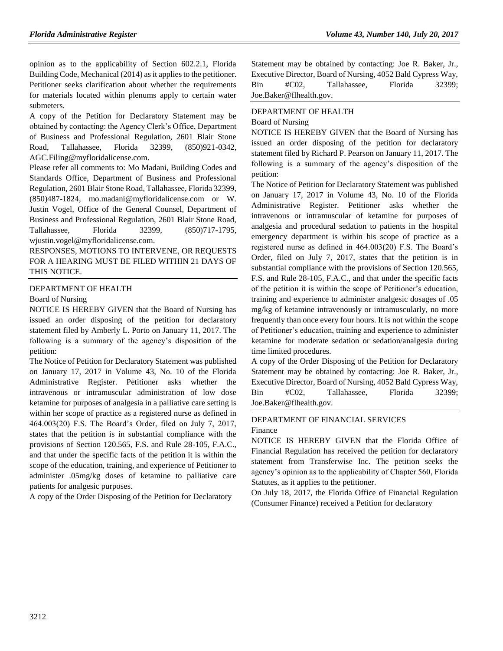opinion as to the applicability of Section 602.2.1, Florida Building Code, Mechanical (2014) as it applies to the petitioner. Petitioner seeks clarification about whether the requirements for materials located within plenums apply to certain water submeters.

A copy of the Petition for Declaratory Statement may be obtained by contacting: the Agency Clerk's Office, Department of Business and Professional Regulation, 2601 Blair Stone Road, Tallahassee, Florida 32399, (850)921-0342, [AGC.Filing@myfloridalicense.com.](mailto:AGC.Filing@myfloridalicense.com)

Please refer all comments to: Mo Madani, Building Codes and Standards Office, Department of Business and Professional Regulation, 2601 Blair Stone Road, Tallahassee, Florida 32399, (850)487-1824, [mo.madani@myfloridalicense.com](mailto:mo.madani@myfloridalicense.com) or W. Justin Vogel, Office of the General Counsel, Department of Business and Professional Regulation, 2601 Blair Stone Road, Tallahassee, Florida 32399, (850)717-1795, [wjustin.vogel@myfloridalicense.com.](mailto:wjustin.vogel@myfloridalicense.com)

RESPONSES, MOTIONS TO INTERVENE, OR REQUESTS FOR A HEARING MUST BE FILED WITHIN 21 DAYS OF THIS NOTICE.

#### [DEPARTMENT OF HEALTH](https://www.flrules.org/gateway/department.asp?id=64)

#### [Board of Nursing](https://www.flrules.org/gateway/organization.asp?id=332)

NOTICE IS HEREBY GIVEN that the Board of Nursing has issued an order disposing of the petition for declaratory statement filed by Amberly L. Porto on January 11, 2017. The following is a summary of the agency's disposition of the petition:

The Notice of Petition for Declaratory Statement was published on January 17, 2017 in Volume 43, No. 10 of the Florida Administrative Register. Petitioner asks whether the intravenous or intramuscular administration of low dose ketamine for purposes of analgesia in a palliative care setting is within her scope of practice as a registered nurse as defined in 464.003(20) F.S. The Board's Order, filed on July 7, 2017, states that the petition is in substantial compliance with the provisions of Section 120.565, F.S. and Rule 28-105, F.A.C., and that under the specific facts of the petition it is within the scope of the education, training, and experience of Petitioner to administer .05mg/kg doses of ketamine to palliative care patients for analgesic purposes.

A copy of the Order Disposing of the Petition for Declaratory

Statement may be obtained by contacting: Joe R. Baker, Jr., Executive Director, Board of Nursing, 4052 Bald Cypress Way, Bin #C02, Tallahassee, Florida 32399; [Joe.Baker@flhealth.gov.](mailto:Joe.Baker@flhealth.gov)

#### [DEPARTMENT OF HEALTH](https://www.flrules.org/gateway/department.asp?id=64)

#### [Board of Nursing](https://www.flrules.org/gateway/organization.asp?id=332)

NOTICE IS HEREBY GIVEN that the Board of Nursing has issued an order disposing of the petition for declaratory statement filed by Richard P. Pearson on January 11, 2017. The following is a summary of the agency's disposition of the petition:

The Notice of Petition for Declaratory Statement was published on January 17, 2017 in Volume 43, No. 10 of the Florida Administrative Register. Petitioner asks whether the intravenous or intramuscular of ketamine for purposes of analgesia and procedural sedation to patients in the hospital emergency department is within his scope of practice as a registered nurse as defined in 464.003(20) F.S. The Board's Order, filed on July 7, 2017, states that the petition is in substantial compliance with the provisions of Section 120.565, F.S. and Rule 28-105, F.A.C., and that under the specific facts of the petition it is within the scope of Petitioner's education, training and experience to administer analgesic dosages of .05 mg/kg of ketamine intravenously or intramuscularly, no more frequently than once every four hours. It is not within the scope of Petitioner's education, training and experience to administer ketamine for moderate sedation or sedation/analgesia during time limited procedures.

A copy of the Order Disposing of the Petition for Declaratory Statement may be obtained by contacting: Joe R. Baker, Jr., Executive Director, Board of Nursing, 4052 Bald Cypress Way, Bin #C02, Tallahassee, Florida 32399; [Joe.Baker@flhealth.gov.](mailto:Joe.Baker@flhealth.gov)

### [DEPARTMENT OF FINANCIAL SERVICES](https://www.flrules.org/gateway/department.asp?id=69) [Finance](https://www.flrules.org/gateway/organization.asp?id=524)

NOTICE IS HEREBY GIVEN that the Florida Office of Financial Regulation has received the petition for declaratory statement from Transferwise Inc. The petition seeks the agency's opinion as to the applicability of Chapter 560, Florida Statutes, as it applies to the petitioner.

On July 18, 2017, the Florida Office of Financial Regulation (Consumer Finance) received a Petition for declaratory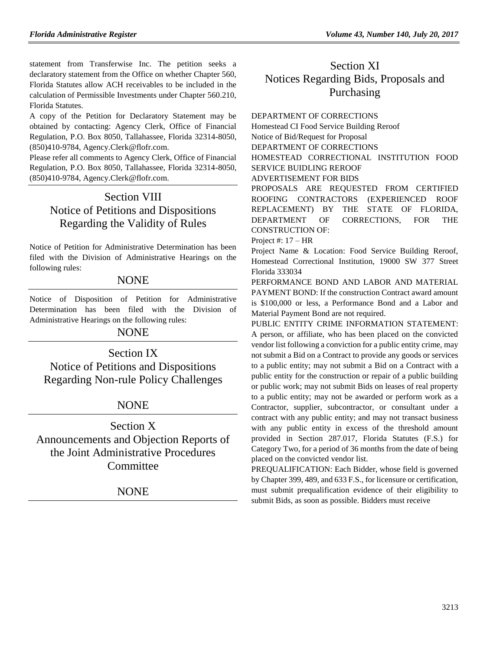statement from Transferwise Inc. The petition seeks a declaratory statement from the Office on whether Chapter 560, Florida Statutes allow ACH receivables to be included in the calculation of Permissible Investments under Chapter 560.210, Florida Statutes.

A copy of the Petition for Declaratory Statement may be obtained by contacting: Agency Clerk, Office of Financial Regulation, P.O. Box 8050, Tallahassee, Florida 32314-8050, (850)410-9784, [Agency.Clerk@flofr.com.](mailto:Agency.Clerk@flofr.com)

Please refer all comments to Agency Clerk, Office of Financial Regulation, P.O. Box 8050, Tallahassee, Florida 32314-8050, (850)410-9784, [Agency.Clerk@flofr.com.](mailto:Agency.Clerk@flofr.com)

# Section VIII Notice of Petitions and Dispositions Regarding the Validity of Rules

Notice of Petition for Administrative Determination has been filed with the Division of Administrative Hearings on the following rules:

## NONE

Notice of Disposition of Petition for Administrative Determination has been filed with the Division of Administrative Hearings on the following rules:

## NONE

Section IX Notice of Petitions and Dispositions Regarding Non-rule Policy Challenges

## **NONE**

Section X Announcements and Objection Reports of the Joint Administrative Procedures Committee

NONE

# Section XI Notices Regarding Bids, Proposals and Purchasing

[DEPARTMENT OF CORRECTIONS](https://www.flrules.org/gateway/department.asp?id=33) Homestead CI Food Service Building Reroof Notice of Bid/Request for Proposal DEPARTMENT OF CORRECTIONS HOMESTEAD CORRECTIONAL INSTITUTION FOOD SERVICE BUIDLING REROOF ADVERTISEMENT FOR BIDS PROPOSALS ARE REQUESTED FROM CERTIFIED ROOFING CONTRACTORS (EXPERIENCED ROOF REPLACEMENT) BY THE STATE OF FLORIDA, DEPARTMENT OF CORRECTIONS, FOR THE CONSTRUCTION OF:

Project #: 17 – HR

Project Name & Location: Food Service Building Reroof, Homestead Correctional Institution, 19000 SW 377 Street Florida 333034

PERFORMANCE BOND AND LABOR AND MATERIAL PAYMENT BOND: If the construction Contract award amount is \$100,000 or less, a Performance Bond and a Labor and Material Payment Bond are not required.

PUBLIC ENTITY CRIME INFORMATION STATEMENT: A person, or affiliate, who has been placed on the convicted vendor list following a conviction for a public entity crime, may not submit a Bid on a Contract to provide any goods or services to a public entity; may not submit a Bid on a Contract with a public entity for the construction or repair of a public building or public work; may not submit Bids on leases of real property to a public entity; may not be awarded or perform work as a Contractor, supplier, subcontractor, or consultant under a contract with any public entity; and may not transact business with any public entity in excess of the threshold amount provided in Section 287.017, Florida Statutes (F.S.) for Category Two, for a period of 36 months from the date of being placed on the convicted vendor list.

PREQUALIFICATION: Each Bidder, whose field is governed by Chapter 399, 489, and 633 F.S., for licensure or certification, must submit prequalification evidence of their eligibility to submit Bids, as soon as possible. Bidders must receive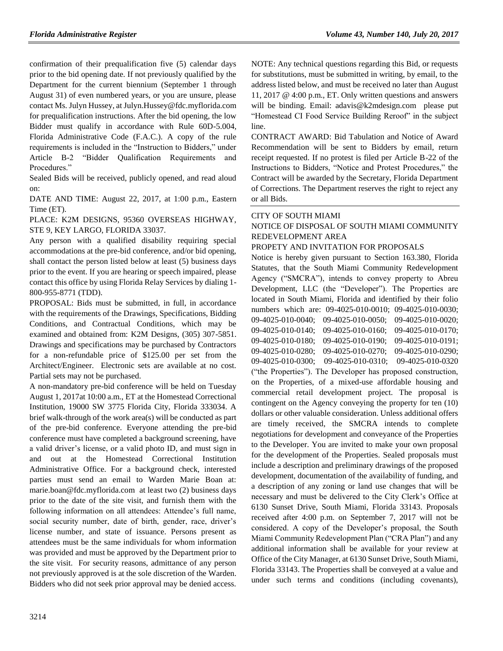confirmation of their prequalification five (5) calendar days prior to the bid opening date. If not previously qualified by the Department for the current biennium (September 1 through August 31) of even numbered years, or you are unsure, please contact Ms. Julyn Hussey, at [Julyn.Hussey@fdc.myflorida.com](mailto:Julyn.Hussey@fdc.myflorida.com) for prequalification instructions. After the bid opening, the low Bidder must qualify in accordance with Rule 60D-5.004, Florida Administrative Code (F.A.C.). A copy of the rule requirements is included in the "Instruction to Bidders," under Article B-2 "Bidder Qualification Requirements and Procedures."

Sealed Bids will be received, publicly opened, and read aloud on:

DATE AND TIME: August 22, 2017, at 1:00 p.m., Eastern Time (ET).

PLACE: K2M DESIGNS, 95360 OVERSEAS HIGHWAY, STE 9, KEY LARGO, FLORIDA 33037.

Any person with a qualified disability requiring special accommodations at the pre-bid conference, and/or bid opening, shall contact the person listed below at least (5) business days prior to the event. If you are hearing or speech impaired, please contact this office by using Florida Relay Services by dialing 1- 800-955-8771 (TDD).

PROPOSAL: Bids must be submitted, in full, in accordance with the requirements of the Drawings, Specifications, Bidding Conditions, and Contractual Conditions, which may be examined and obtained from: K2M Designs, (305) 307-5851. Drawings and specifications may be purchased by Contractors for a non-refundable price of \$125.00 per set from the Architect/Engineer. Electronic sets are available at no cost. Partial sets may not be purchased.

A non-mandatory pre-bid conference will be held on Tuesday August 1, 2017at 10:00 a.m., ET at the Homestead Correctional Institution, 19000 SW 3775 Florida City, Florida 333034. A brief walk-through of the work area(s) will be conducted as part of the pre-bid conference. Everyone attending the pre-bid conference must have completed a background screening, have a valid driver's license, or a valid photo ID, and must sign in and out at the Homestead Correctional Institution Administrative Office. For a background check, interested parties must send an email to Warden Marie Boan at: [marie.boan@fdc.myflorida.com](mailto:marie.boan@fdc.myflorida.com) at least two (2) business days prior to the date of the site visit, and furnish them with the following information on all attendees: Attendee's full name, social security number, date of birth, gender, race, driver's license number, and state of issuance. Persons present as attendees must be the same individuals for whom information was provided and must be approved by the Department prior to the site visit. For security reasons, admittance of any person not previously approved is at the sole discretion of the Warden. Bidders who did not seek prior approval may be denied access.

NOTE: Any technical questions regarding this Bid, or requests for substitutions, must be submitted in writing, by email, to the address listed below, and must be received no later than August 11, 2017 @ 4:00 p.m., ET. Only written questions and answers will be binding. Email: [adavis@k2mdesign.com](mailto:adavis@k2mdesign.com) please put "Homestead CI Food Service Building Reroof" in the subject line.

CONTRACT AWARD: Bid Tabulation and Notice of Award Recommendation will be sent to Bidders by email, return receipt requested. If no protest is filed per Article B-22 of the Instructions to Bidders, "Notice and Protest Procedures," the Contract will be awarded by the Secretary, Florida Department of Corrections. The Department reserves the right to reject any or all Bids.

#### [CITY OF SOUTH MIAMI](https://www.flrules.org/gateway/organization.asp?id=1183)

### NOTICE OF DISPOSAL OF SOUTH MIAMI COMMUNITY REDEVELOPMENT AREA

#### PROPETY AND INVITATION FOR PROPOSALS

Notice is hereby given pursuant to Section 163.380, Florida Statutes, that the South Miami Community Redevelopment Agency ("SMCRA"), intends to convey property to Abreu Development, LLC (the "Developer"). The Properties are located in South Miami, Florida and identified by their folio numbers which are: 09-4025-010-0010; 09-4025-010-0030; 09-4025-010-0040; 09-4025-010-0050; 09-4025-010-0020; 09-4025-010-0140; 09-4025-010-0160; 09-4025-010-0170; 09-4025-010-0180; 09-4025-010-0190; 09-4025-010-0191; 09-4025-010-0280; 09-4025-010-0270; 09-4025-010-0290; 09-4025-010-0300; 09-4025-010-0310; 09-4025-010-0320 ("the Properties"). The Developer has proposed construction, on the Properties, of a mixed-use affordable housing and commercial retail development project. The proposal is contingent on the Agency conveying the property for ten (10) dollars or other valuable consideration. Unless additional offers are timely received, the SMCRA intends to complete negotiations for development and conveyance of the Properties to the Developer. You are invited to make your own proposal for the development of the Properties. Sealed proposals must include a description and preliminary drawings of the proposed development, documentation of the availability of funding, and a description of any zoning or land use changes that will be necessary and must be delivered to the City Clerk's Office at 6130 Sunset Drive, South Miami, Florida 33143. Proposals received after 4:00 p.m. on September 7, 2017 will not be considered. A copy of the Developer's proposal, the South Miami Community Redevelopment Plan ("CRA Plan") and any additional information shall be available for your review at Office of the City Manager, at 6130 Sunset Drive, South Miami, Florida 33143. The Properties shall be conveyed at a value and under such terms and conditions (including covenants),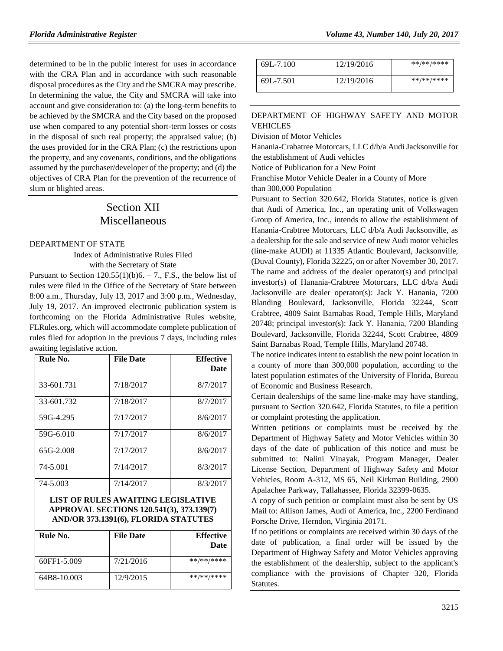determined to be in the public interest for uses in accordance with the CRA Plan and in accordance with such reasonable disposal procedures as the City and the SMCRA may prescribe. In determining the value, the City and SMCRA will take into account and give consideration to: (a) the long-term benefits to be achieved by the SMCRA and the City based on the proposed use when compared to any potential short-term losses or costs in the disposal of such real property; the appraised value; (b) the uses provided for in the CRA Plan; (c) the restrictions upon the property, and any covenants, conditions, and the obligations assumed by the purchaser/developer of the property; and (d) the objectives of CRA Plan for the prevention of the recurrence of slum or blighted areas.

# Section XII Miscellaneous

#### [DEPARTMENT OF STATE](https://www.flrules.org/gateway/department.asp?id=1)

Index of Administrative Rules Filed with the Secretary of State

Pursuant to Section  $120.55(1)(b)6. - 7.$ , F.S., the below list of rules were filed in the Office of the Secretary of State between 8:00 a.m., Thursday, July 13, 2017 and 3:00 p.m., Wednesday, July 19, 2017. An improved electronic publication system is forthcoming on the Florida Administrative Rules website, FLRules.org, which will accommodate complete publication of rules filed for adoption in the previous 7 days, including rules awaiting legislative action.

| Rule No.    | <b>File Date</b> | <b>Effective</b><br><b>Date</b> |
|-------------|------------------|---------------------------------|
| 33-601.731  | 7/18/2017        | 8/7/2017                        |
| 33-601.732  | 7/18/2017        | 8/7/2017                        |
| 59G-4.295   | 7/17/2017        | 8/6/2017                        |
| 59G-6.010   | 7/17/2017        | 8/6/2017                        |
| $65G-2.008$ | 7/17/2017        | 8/6/2017                        |
| 74-5.001    | 7/14/2017        | 8/3/2017                        |
| 74-5.003    | 7/14/2017        | 8/3/2017                        |

| LIST OF RULES AWAITING LEGISLATIVE       |
|------------------------------------------|
| APPROVAL SECTIONS 120.541(3), 373.139(7) |
| AND/OR 373.1391(6), FLORIDA STATUTES     |

| Rule No.    | <b>File Date</b> | <b>Effective</b><br>Date |
|-------------|------------------|--------------------------|
| 60FF1-5.009 | 7/21/2016        | **/**/****               |
| 64B8-10.003 | 12/9/2015        | **/**/****               |

| 69L-7.100 | 12/19/2016 | **/**/**** |
|-----------|------------|------------|
| 69L-7.501 | 12/19/2016 | **/**/**** |

## [DEPARTMENT OF HIGHWAY SAFETY AND MOTOR](https://www.flrules.org/gateway/department.asp?id=15)  [VEHICLES](https://www.flrules.org/gateway/department.asp?id=15)

[Division of Motor Vehicles](https://www.flrules.org/gateway/organization.asp?id=42)

Hanania-Crabatree Motorcars, LLC d/b/a Audi Jacksonville for the establishment of Audi vehicles

Notice of Publication for a New Point

Franchise Motor Vehicle Dealer in a County of More

than 300,000 Population

Pursuant to Section 320.642, Florida Statutes, notice is given that Audi of America, Inc., an operating unit of Volkswagen Group of America, Inc., intends to allow the establishment of Hanania-Crabtree Motorcars, LLC d/b/a Audi Jacksonville, as a dealership for the sale and service of new Audi motor vehicles (line-make AUDI) at 11335 Atlantic Boulevard, Jacksonville, (Duval County), Florida 32225, on or after November 30, 2017. The name and address of the dealer operator(s) and principal investor(s) of Hanania-Crabtree Motorcars, LLC d/b/a Audi Jacksonville are dealer operator(s): Jack Y. Hanania, 7200 Blanding Boulevard, Jacksonville, Florida 32244, Scott Crabtree, 4809 Saint Barnabas Road, Temple Hills, Maryland 20748; principal investor(s): Jack Y. Hanania, 7200 Blanding Boulevard, Jacksonville, Florida 32244, Scott Crabtree, 4809 Saint Barnabas Road, Temple Hills, Maryland 20748.

The notice indicates intent to establish the new point location in a county of more than 300,000 population, according to the latest population estimates of the University of Florida, Bureau of Economic and Business Research.

Certain dealerships of the same line-make may have standing, pursuant to Section 320.642, Florida Statutes, to file a petition or complaint protesting the application.

Written petitions or complaints must be received by the Department of Highway Safety and Motor Vehicles within 30 days of the date of publication of this notice and must be submitted to: Nalini Vinayak, Program Manager, Dealer License Section, Department of Highway Safety and Motor Vehicles, Room A-312, MS 65, Neil Kirkman Building, 2900 Apalachee Parkway, Tallahassee, Florida 32399-0635.

A copy of such petition or complaint must also be sent by US Mail to: Allison James, Audi of America, Inc., 2200 Ferdinand Porsche Drive, Herndon, Virginia 20171.

If no petitions or complaints are received within 30 days of the date of publication, a final order will be issued by the Department of Highway Safety and Motor Vehicles approving the establishment of the dealership, subject to the applicant's compliance with the provisions of Chapter 320, Florida Statutes.